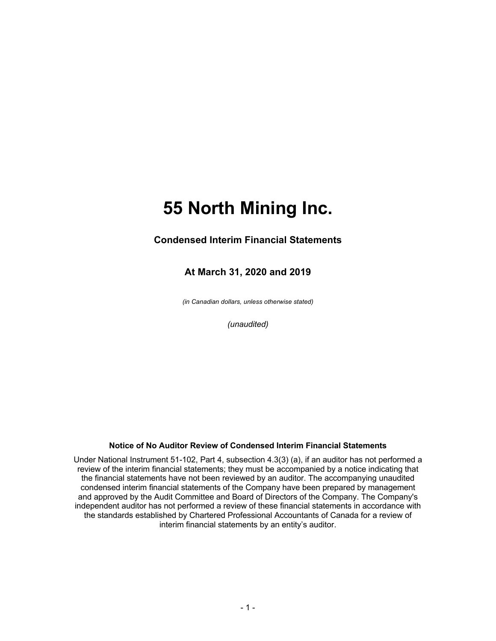### **Condensed Interim Financial Statements**

### **At March 31, 2020 and 2019**

*(in Canadian dollars, unless otherwise stated)*

*(unaudited)*

#### **Notice of No Auditor Review of Condensed Interim Financial Statements**

Under National Instrument 51-102, Part 4, subsection 4.3(3) (a), if an auditor has not performed a review of the interim financial statements; they must be accompanied by a notice indicating that the financial statements have not been reviewed by an auditor. The accompanying unaudited condensed interim financial statements of the Company have been prepared by management and approved by the Audit Committee and Board of Directors of the Company. The Company's independent auditor has not performed a review of these financial statements in accordance with the standards established by Chartered Professional Accountants of Canada for a review of interim financial statements by an entity's auditor.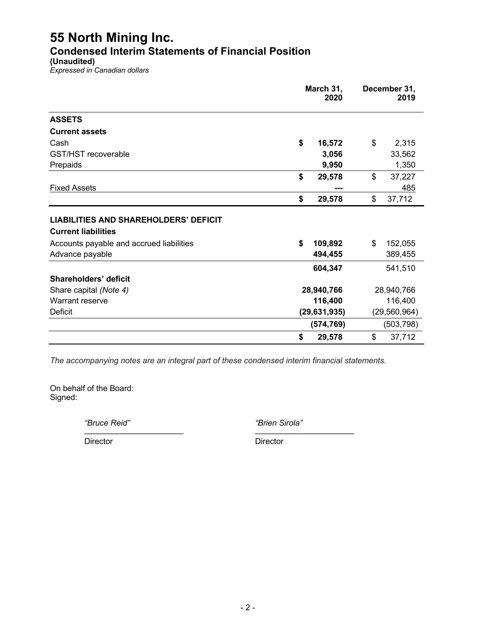## **Condensed Interim Statements of Financial Position**

**(Unaudited)**

*Expressed in Canadian dollars*

|                                                                                                                                           | March 31,<br>2020 |                    |            | December 31,<br>2019 |  |
|-------------------------------------------------------------------------------------------------------------------------------------------|-------------------|--------------------|------------|----------------------|--|
| <b>ASSETS</b>                                                                                                                             |                   |                    |            |                      |  |
| <b>Current assets</b>                                                                                                                     |                   |                    |            |                      |  |
| Cash                                                                                                                                      | \$                | 16,572             | \$         | 2,315                |  |
| GST/HST recoverable                                                                                                                       |                   | 3,056              |            | 33,562               |  |
| Prepaids                                                                                                                                  |                   | 9,950              |            | 1,350                |  |
|                                                                                                                                           | \$                | 29,578             | \$         | 37,227               |  |
| <b>Fixed Assets</b>                                                                                                                       |                   |                    |            | 485                  |  |
|                                                                                                                                           | \$                | 29,578             | \$         | 37,712               |  |
| <b>LIABILITIES AND SHAREHOLDERS' DEFICIT</b><br><b>Current liabilities</b><br>Accounts payable and accrued liabilities<br>Advance payable | \$                | 109,892<br>494,455 | \$         | 152,055<br>389,455   |  |
|                                                                                                                                           |                   | 604,347            |            | 541,510              |  |
| Shareholders' deficit                                                                                                                     |                   |                    |            |                      |  |
| Share capital (Note 4)                                                                                                                    | 28,940,766        |                    | 28,940,766 |                      |  |
| Warrant reserve                                                                                                                           |                   | 116,400            |            | 116,400              |  |
| <b>Deficit</b>                                                                                                                            |                   | (29, 631, 935)     |            | (29, 560, 964)       |  |
|                                                                                                                                           |                   | (574, 769)         |            | (503, 798)           |  |
|                                                                                                                                           | \$                | 29,578             | \$         | 37,712               |  |

*The accompanying notes are an integral part of these condensed interim financial statements.*

On behalf of the Board: Signed:

*"Bruce Reid" "Brien Sirola"* \_\_\_\_\_\_\_\_\_\_\_\_\_\_\_\_\_\_\_\_\_\_ \_\_\_\_\_\_\_\_\_\_\_\_\_\_\_\_\_\_\_\_\_\_

Director Director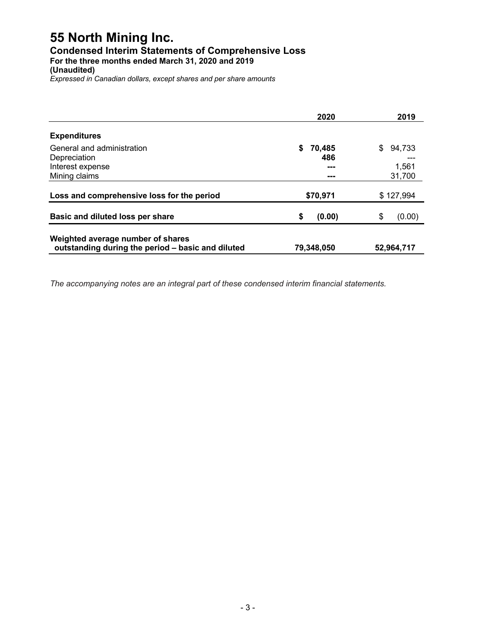### **Condensed Interim Statements of Comprehensive Loss**

**For the three months ended March 31, 2020 and 2019**

**(Unaudited)**

*Expressed in Canadian dollars, except shares and per share amounts*

|                                                                                        | 2020         | 2019         |
|----------------------------------------------------------------------------------------|--------------|--------------|
| <b>Expenditures</b>                                                                    |              |              |
| General and administration                                                             | 70,485<br>S  | 94,733<br>S  |
| Depreciation                                                                           | 486          |              |
| Interest expense                                                                       | ---          | 1,561        |
| Mining claims                                                                          | ---          | 31,700       |
| Loss and comprehensive loss for the period                                             | \$70,971     | \$127,994    |
| Basic and diluted loss per share                                                       | \$<br>(0.00) | \$<br>(0.00) |
| Weighted average number of shares<br>outstanding during the period - basic and diluted | 79,348,050   | 52,964,717   |

*The accompanying notes are an integral part of these condensed interim financial statements.*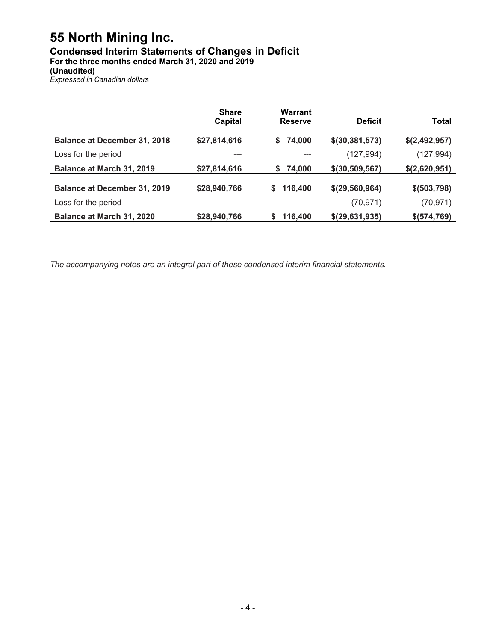## **Condensed Interim Statements of Changes in Deficit**

**For the three months ended March 31, 2020 and 2019**

**(Unaudited)**

*Expressed in Canadian dollars*

|                                     | <b>Share</b><br><b>Capital</b> | Warrant<br><b>Reserve</b> | <b>Deficit</b>   | <b>Total</b>  |
|-------------------------------------|--------------------------------|---------------------------|------------------|---------------|
| <b>Balance at December 31, 2018</b> | \$27,814,616                   | \$74,000                  | \$(30, 381, 573) | \$(2,492,957) |
| Loss for the period                 |                                |                           | (127, 994)       | (127, 994)    |
| Balance at March 31, 2019           | \$27,814,616                   | 74,000<br>S               | \$(30, 509, 567) | \$(2,620,951) |
| <b>Balance at December 31, 2019</b> | \$28,940,766                   | 116,400<br>S.             | \$(29, 560, 964) | \$ (503, 798) |
| Loss for the period                 | ---                            |                           | (70, 971)        | (70, 971)     |
| Balance at March 31, 2020           | \$28,940,766                   | 116,400<br>S              | \$(29,631,935)   | \$ (574, 769) |

*The accompanying notes are an integral part of these condensed interim financial statements.*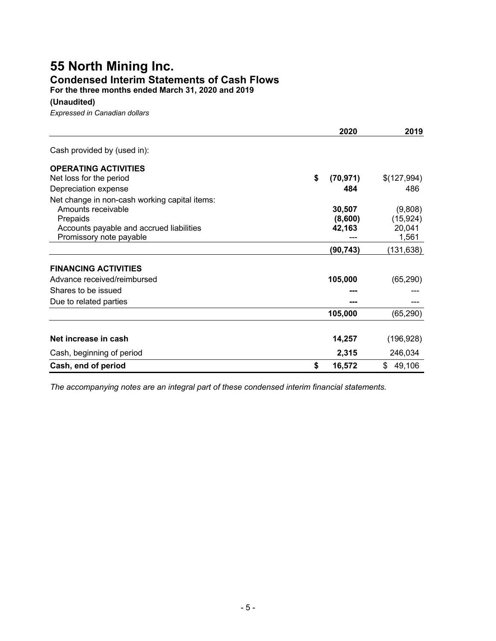## **55 North Mining Inc. Condensed Interim Statements of Cash Flows**

**For the three months ended March 31, 2020 and 2019**

#### **(Unaudited)**

*Expressed in Canadian dollars*

|                                               | 2020            | 2019         |
|-----------------------------------------------|-----------------|--------------|
| Cash provided by (used in):                   |                 |              |
| <b>OPERATING ACTIVITIES</b>                   |                 |              |
| Net loss for the period                       | \$<br>(70, 971) | \$(127,994)  |
| Depreciation expense                          | 484             | 486          |
| Net change in non-cash working capital items: |                 |              |
| Amounts receivable                            | 30,507          | (9,808)      |
| Prepaids                                      | (8,600)         | (15, 924)    |
| Accounts payable and accrued liabilities      | 42,163          | 20,041       |
| Promissory note payable                       |                 | 1,561        |
|                                               | (90, 743)       | (131,638)    |
| <b>FINANCING ACTIVITIES</b>                   |                 |              |
| Advance received/reimbursed                   | 105,000         | (65, 290)    |
| Shares to be issued                           |                 |              |
| Due to related parties                        |                 |              |
|                                               | 105,000         | (65, 290)    |
|                                               |                 |              |
| Net increase in cash                          | 14,257          | (196, 928)   |
| Cash, beginning of period                     | 2,315           | 246,034      |
| Cash, end of period                           | \$<br>16,572    | \$<br>49,106 |

*The accompanying notes are an integral part of these condensed interim financial statements.*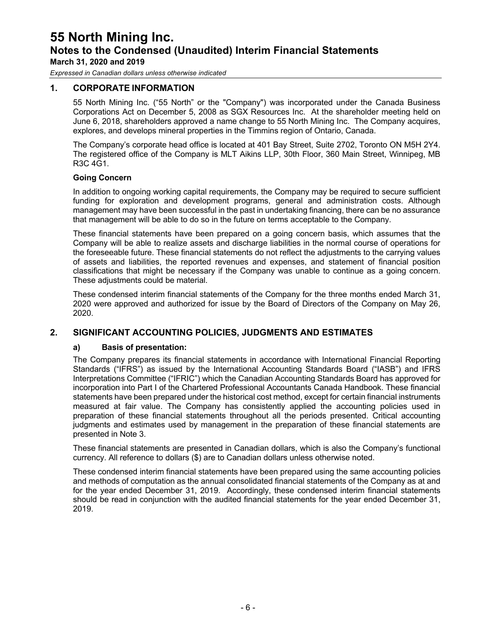*Expressed in Canadian dollars unless otherwise indicated*

#### **1. CORPORATE INFORMATION**

55 North Mining Inc. ("55 North" or the "Company") was incorporated under the Canada Business Corporations Act on December 5, 2008 as SGX Resources Inc. At the shareholder meeting held on June 6, 2018, shareholders approved a name change to 55 North Mining Inc. The Company acquires, explores, and develops mineral properties in the Timmins region of Ontario, Canada.

The Company's corporate head office is located at 401 Bay Street, Suite 2702, Toronto ON M5H 2Y4. The registered office of the Company is MLT Aikins LLP, 30th Floor, 360 Main Street, Winnipeg, MB R3C 4G1.

#### **Going Concern**

In addition to ongoing working capital requirements, the Company may be required to secure sufficient funding for exploration and development programs, general and administration costs. Although management may have been successful in the past in undertaking financing, there can be no assurance that management will be able to do so in the future on terms acceptable to the Company.

These financial statements have been prepared on a going concern basis, which assumes that the Company will be able to realize assets and discharge liabilities in the normal course of operations for the foreseeable future. These financial statements do not reflect the adjustments to the carrying values of assets and liabilities, the reported revenues and expenses, and statement of financial position classifications that might be necessary if the Company was unable to continue as a going concern. These adjustments could be material.

These condensed interim financial statements of the Company for the three months ended March 31, 2020 were approved and authorized for issue by the Board of Directors of the Company on May 26, 2020.

#### **2. SIGNIFICANT ACCOUNTING POLICIES, JUDGMENTS AND ESTIMATES**

#### **a) Basis of presentation:**

The Company prepares its financial statements in accordance with International Financial Reporting Standards ("IFRS") as issued by the International Accounting Standards Board ("IASB") and IFRS Interpretations Committee ("IFRIC") which the Canadian Accounting Standards Board has approved for incorporation into Part I of the Chartered Professional Accountants Canada Handbook. These financial statements have been prepared under the historical cost method, except for certain financial instruments measured at fair value. The Company has consistently applied the accounting policies used in preparation of these financial statements throughout all the periods presented. Critical accounting judgments and estimates used by management in the preparation of these financial statements are presented in Note 3.

These financial statements are presented in Canadian dollars, which is also the Company's functional currency. All reference to dollars (\$) are to Canadian dollars unless otherwise noted.

These condensed interim financial statements have been prepared using the same accounting policies and methods of computation as the annual consolidated financial statements of the Company as at and for the year ended December 31, 2019. Accordingly, these condensed interim financial statements should be read in conjunction with the audited financial statements for the year ended December 31, 2019.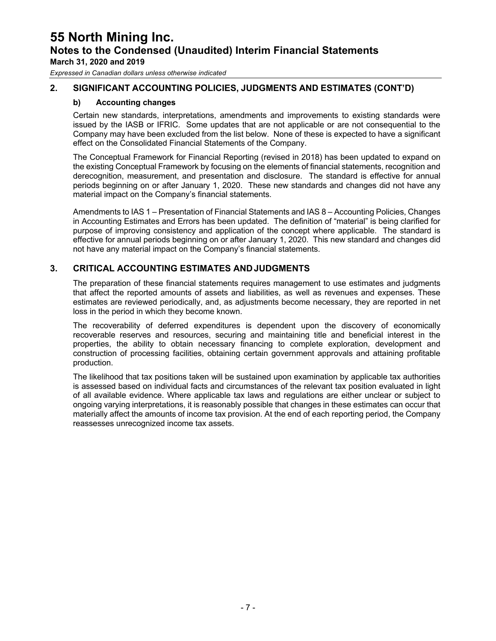*Expressed in Canadian dollars unless otherwise indicated*

#### **2. SIGNIFICANT ACCOUNTING POLICIES, JUDGMENTS AND ESTIMATES (CONT'D)**

#### **b) Accounting changes**

Certain new standards, interpretations, amendments and improvements to existing standards were issued by the IASB or IFRIC. Some updates that are not applicable or are not consequential to the Company may have been excluded from the list below. None of these is expected to have a significant effect on the Consolidated Financial Statements of the Company.

The Conceptual Framework for Financial Reporting (revised in 2018) has been updated to expand on the existing Conceptual Framework by focusing on the elements of financial statements, recognition and derecognition, measurement, and presentation and disclosure. The standard is effective for annual periods beginning on or after January 1, 2020. These new standards and changes did not have any material impact on the Company's financial statements.

Amendments to IAS 1 – Presentation of Financial Statements and IAS 8 – Accounting Policies, Changes in Accounting Estimates and Errors has been updated. The definition of "material" is being clarified for purpose of improving consistency and application of the concept where applicable. The standard is effective for annual periods beginning on or after January 1, 2020. This new standard and changes did not have any material impact on the Company's financial statements.

#### **3. CRITICAL ACCOUNTING ESTIMATES ANDJUDGMENTS**

The preparation of these financial statements requires management to use estimates and judgments that affect the reported amounts of assets and liabilities, as well as revenues and expenses. These estimates are reviewed periodically, and, as adjustments become necessary, they are reported in net loss in the period in which they become known.

The recoverability of deferred expenditures is dependent upon the discovery of economically recoverable reserves and resources, securing and maintaining title and beneficial interest in the properties, the ability to obtain necessary financing to complete exploration, development and construction of processing facilities, obtaining certain government approvals and attaining profitable production.

The likelihood that tax positions taken will be sustained upon examination by applicable tax authorities is assessed based on individual facts and circumstances of the relevant tax position evaluated in light of all available evidence. Where applicable tax laws and regulations are either unclear or subject to ongoing varying interpretations, it is reasonably possible that changes in these estimates can occur that materially affect the amounts of income tax provision. At the end of each reporting period, the Company reassesses unrecognized income tax assets.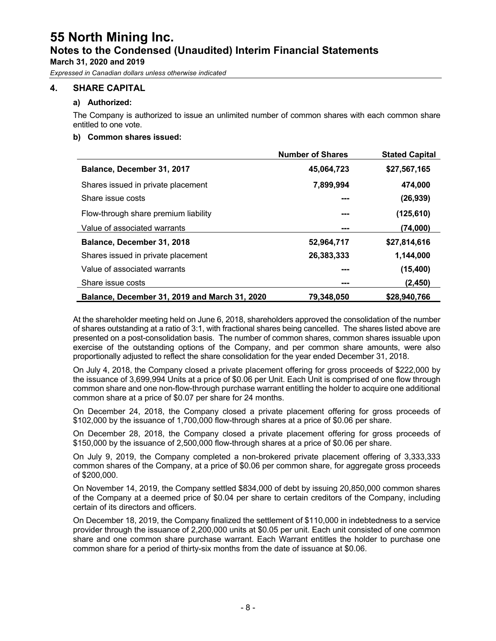*Expressed in Canadian dollars unless otherwise indicated*

#### **4. SHARE CAPITAL**

#### **a) Authorized:**

The Company is authorized to issue an unlimited number of common shares with each common share entitled to one vote.

#### **b) Common shares issued:**

|                                               | <b>Number of Shares</b> | <b>Stated Capital</b> |
|-----------------------------------------------|-------------------------|-----------------------|
| Balance, December 31, 2017                    | 45,064,723              | \$27,567,165          |
| Shares issued in private placement            | 7,899,994               | 474,000               |
| Share issue costs                             |                         | (26, 939)             |
| Flow-through share premium liability          | ---                     | (125, 610)            |
| Value of associated warrants                  | ---                     | (74,000)              |
| Balance, December 31, 2018                    | 52,964,717              | \$27,814,616          |
| Shares issued in private placement            | 26,383,333              | 1,144,000             |
| Value of associated warrants                  | ---                     | (15, 400)             |
| Share issue costs                             | ---                     | (2,450)               |
| Balance, December 31, 2019 and March 31, 2020 | 79.348.050              | \$28,940,766          |

At the shareholder meeting held on June 6, 2018, shareholders approved the consolidation of the number of shares outstanding at a ratio of 3:1, with fractional shares being cancelled. The shares listed above are presented on a post-consolidation basis. The number of common shares, common shares issuable upon exercise of the outstanding options of the Company, and per common share amounts, were also proportionally adjusted to reflect the share consolidation for the year ended December 31, 2018.

On July 4, 2018, the Company closed a private placement offering for gross proceeds of \$222,000 by the issuance of 3,699,994 Units at a price of \$0.06 per Unit. Each Unit is comprised of one flow through common share and one non-flow-through purchase warrant entitling the holder to acquire one additional common share at a price of \$0.07 per share for 24 months.

On December 24, 2018, the Company closed a private placement offering for gross proceeds of \$102,000 by the issuance of 1,700,000 flow-through shares at a price of \$0.06 per share.

On December 28, 2018, the Company closed a private placement offering for gross proceeds of \$150,000 by the issuance of 2,500,000 flow-through shares at a price of \$0.06 per share.

On July 9, 2019, the Company completed a non-brokered private placement offering of 3,333,333 common shares of the Company, at a price of \$0.06 per common share, for aggregate gross proceeds of \$200,000.

On November 14, 2019, the Company settled \$834,000 of debt by issuing 20,850,000 common shares of the Company at a deemed price of \$0.04 per share to certain creditors of the Company, including certain of its directors and officers.

On December 18, 2019, the Company finalized the settlement of \$110,000 in indebtedness to a service provider through the issuance of 2,200,000 units at \$0.05 per unit. Each unit consisted of one common share and one common share purchase warrant. Each Warrant entitles the holder to purchase one common share for a period of thirty-six months from the date of issuance at \$0.06.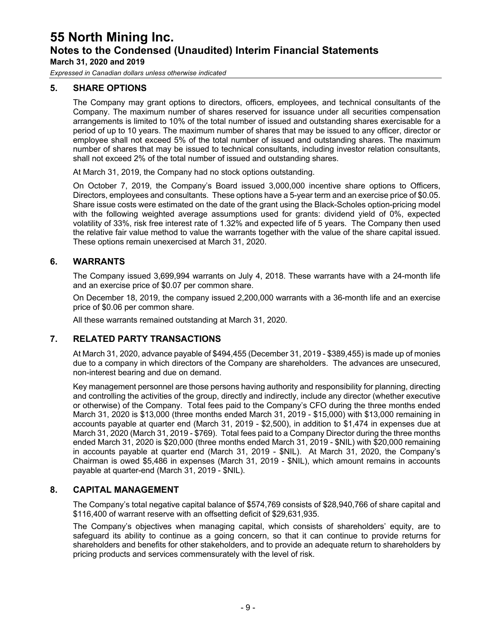*Expressed in Canadian dollars unless otherwise indicated*

#### **5. SHARE OPTIONS**

The Company may grant options to directors, officers, employees, and technical consultants of the Company. The maximum number of shares reserved for issuance under all securities compensation arrangements is limited to 10% of the total number of issued and outstanding shares exercisable for a period of up to 10 years. The maximum number of shares that may be issued to any officer, director or employee shall not exceed 5% of the total number of issued and outstanding shares. The maximum number of shares that may be issued to technical consultants, including investor relation consultants, shall not exceed 2% of the total number of issued and outstanding shares.

At March 31, 2019, the Company had no stock options outstanding.

On October 7, 2019, the Company's Board issued 3,000,000 incentive share options to Officers, Directors, employees and consultants. These options have a 5-year term and an exercise price of \$0.05. Share issue costs were estimated on the date of the grant using the Black-Scholes option-pricing model with the following weighted average assumptions used for grants: dividend yield of 0%, expected volatility of 33%, risk free interest rate of 1.32% and expected life of 5 years. The Company then used the relative fair value method to value the warrants together with the value of the share capital issued. These options remain unexercised at March 31, 2020.

#### **6. WARRANTS**

The Company issued 3,699,994 warrants on July 4, 2018. These warrants have with a 24-month life and an exercise price of \$0.07 per common share.

On December 18, 2019, the company issued 2,200,000 warrants with a 36-month life and an exercise price of \$0.06 per common share.

All these warrants remained outstanding at March 31, 2020.

#### **7. RELATED PARTY TRANSACTIONS**

At March 31, 2020, advance payable of \$494,455 (December 31, 2019 - \$389,455) is made up of monies due to a company in which directors of the Company are shareholders. The advances are unsecured, non-interest bearing and due on demand.

Key management personnel are those persons having authority and responsibility for planning, directing and controlling the activities of the group, directly and indirectly, include any director (whether executive or otherwise) of the Company. Total fees paid to the Company's CFO during the three months ended March 31, 2020 is \$13,000 (three months ended March 31, 2019 - \$15,000) with \$13,000 remaining in accounts payable at quarter end (March 31, 2019 - \$2,500), in addition to \$1,474 in expenses due at March 31, 2020 (March 31, 2019 - \$769). Total fees paid to a Company Director during the three months ended March 31, 2020 is \$20,000 (three months ended March 31, 2019 - \$NIL) with \$20,000 remaining in accounts payable at quarter end (March 31, 2019 - \$NIL). At March 31, 2020, the Company's Chairman is owed \$5,486 in expenses (March 31, 2019 - \$NIL), which amount remains in accounts payable at quarter-end (March 31, 2019 - \$NIL).

#### **8. CAPITAL MANAGEMENT**

The Company's total negative capital balance of \$574,769 consists of \$28,940,766 of share capital and \$116,400 of warrant reserve with an offsetting deficit of \$29,631,935.

The Company's objectives when managing capital, which consists of shareholders' equity, are to safeguard its ability to continue as a going concern, so that it can continue to provide returns for shareholders and benefits for other stakeholders, and to provide an adequate return to shareholders by pricing products and services commensurately with the level of risk.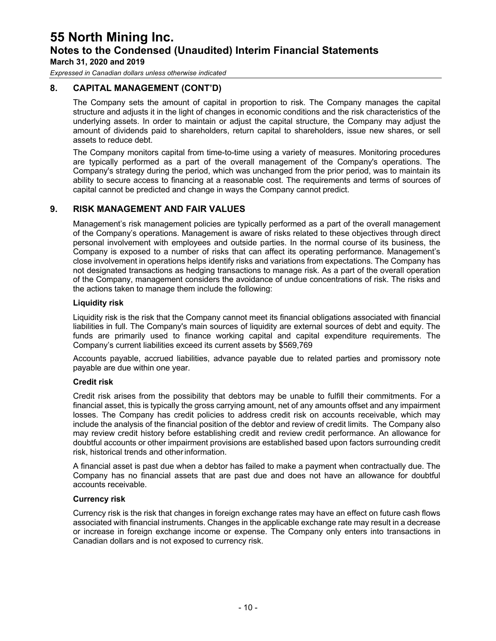*Expressed in Canadian dollars unless otherwise indicated*

#### **8. CAPITAL MANAGEMENT (CONT'D)**

The Company sets the amount of capital in proportion to risk. The Company manages the capital structure and adjusts it in the light of changes in economic conditions and the risk characteristics of the underlying assets. In order to maintain or adjust the capital structure, the Company may adjust the amount of dividends paid to shareholders, return capital to shareholders, issue new shares, or sell assets to reduce debt.

The Company monitors capital from time-to-time using a variety of measures. Monitoring procedures are typically performed as a part of the overall management of the Company's operations. The Company's strategy during the period, which was unchanged from the prior period, was to maintain its ability to secure access to financing at a reasonable cost. The requirements and terms of sources of capital cannot be predicted and change in ways the Company cannot predict.

#### **9. RISK MANAGEMENT AND FAIR VALUES**

Management's risk management policies are typically performed as a part of the overall management of the Company's operations. Management is aware of risks related to these objectives through direct personal involvement with employees and outside parties. In the normal course of its business, the Company is exposed to a number of risks that can affect its operating performance. Management's close involvement in operations helps identify risks and variations from expectations. The Company has not designated transactions as hedging transactions to manage risk. As a part of the overall operation of the Company, management considers the avoidance of undue concentrations of risk. The risks and the actions taken to manage them include the following:

#### **Liquidity risk**

Liquidity risk is the risk that the Company cannot meet its financial obligations associated with financial liabilities in full. The Company's main sources of liquidity are external sources of debt and equity. The funds are primarily used to finance working capital and capital expenditure requirements. The Company's current liabilities exceed its current assets by \$569,769

Accounts payable, accrued liabilities, advance payable due to related parties and promissory note payable are due within one year.

#### **Credit risk**

Credit risk arises from the possibility that debtors may be unable to fulfill their commitments. For a financial asset, this is typically the gross carrying amount, net of any amounts offset and any impairment losses. The Company has credit policies to address credit risk on accounts receivable, which may include the analysis of the financial position of the debtor and review of credit limits. The Company also may review credit history before establishing credit and review credit performance. An allowance for doubtful accounts or other impairment provisions are established based upon factors surrounding credit risk, historical trends and otherinformation.

A financial asset is past due when a debtor has failed to make a payment when contractually due. The Company has no financial assets that are past due and does not have an allowance for doubtful accounts receivable.

#### **Currency risk**

Currency risk is the risk that changes in foreign exchange rates may have an effect on future cash flows associated with financial instruments. Changes in the applicable exchange rate may result in a decrease or increase in foreign exchange income or expense. The Company only enters into transactions in Canadian dollars and is not exposed to currency risk.